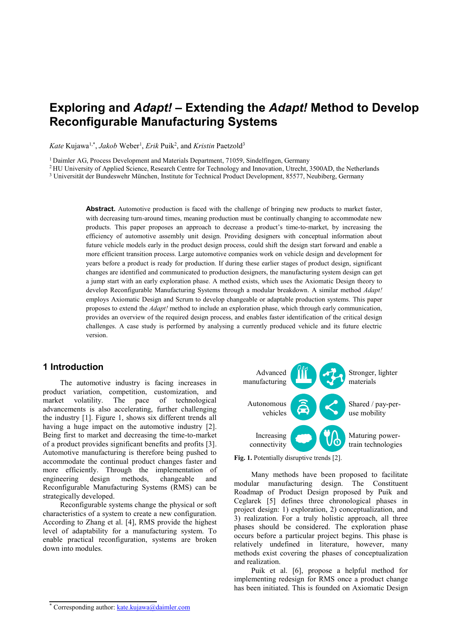# **Exploring and** *Adapt!* **– Extending the** *Adapt!* **Method to Develop Reconfigurable Manufacturing Systems**

Kate Kujawa<sup>1,\*</sup>, *Jakob* Weber<sup>1</sup>, *Erik* Puik<sup>2</sup>, and *Kristin* Paetzold<sup>3</sup>

<sup>1</sup> Daimler AG, Process Development and Materials Department, 71059, Sindelfingen, Germany

<sup>2</sup> HU University of Applied Science, Research Centre for Technology and Innovation, Utrecht, 3500AD, the Netherlands

<sup>3</sup> Universität der Bundeswehr München, Institute for Technical Product Development, 85577, Neubiberg, Germany

**Abstract.** Automotive production is faced with the challenge of bringing new products to market faster, with decreasing turn-around times, meaning production must be continually changing to accommodate new products. This paper proposes an approach to decrease a product's time-to-market, by increasing the efficiency of automotive assembly unit design. Providing designers with conceptual information about future vehicle models early in the product design process, could shift the design start forward and enable a more efficient transition process. Large automotive companies work on vehicle design and development for years before a product is ready for production. If during these earlier stages of product design, significant changes are identified and communicated to production designers, the manufacturing system design can get a jump start with an early exploration phase. A method exists, which uses the Axiomatic Design theory to develop Reconfigurable Manufacturing Systems through a modular breakdown. A similar method *Adapt!* employs Axiomatic Design and Scrum to develop changeable or adaptable production systems. This paper proposes to extend the *Adapt!* method to include an exploration phase, which through early communication, provides an overview of the required design process, and enables faster identification of the critical design challenges. A case study is performed by analysing a currently produced vehicle and its future electric version.

### **1 Introduction**

The automotive industry is facing increases in product variation, competition, customization, and market volatility. The pace of technological advancements is also accelerating, further challenging the industry [1]. Figure 1, shows six different trends all having a huge impact on the automotive industry [2]. Being first to market and decreasing the time-to-market of a product provides significant benefits and profits [3]. Automotive manufacturing is therefore being pushed to accommodate the continual product changes faster and more efficiently. Through the implementation of engineering design methods, changeable and Reconfigurable Manufacturing Systems (RMS) can be strategically developed.

Reconfigurable systems change the physical or soft characteristics of a system to create a new configuration. According to Zhang et al. [4], RMS provide the highest level of adaptability for a manufacturing system. To enable practical reconfiguration, systems are broken down into modules.



Fig. 1. Potentially disruptive trends [2].

Many methods have been proposed to facilitate modular manufacturing design. The Constituent Roadmap of Product Design proposed by Puik and Ceglarek [5] defines three chronological phases in project design: 1) exploration, 2) conceptualization, and 3) realization. For a truly holistic approach, all three phases should be considered. The exploration phase occurs before a particular project begins. This phase is relatively undefined in literature, however, many methods exist covering the phases of conceptualization and realization.

Puik et al. [6], propose a helpful method for implementing redesign for RMS once a product change has been initiated. This is founded on Axiomatic Design

<sup>\*</sup> Corresponding author[: kate.kujawa@daimler.com](mailto:kate.kujawa@daimler.com)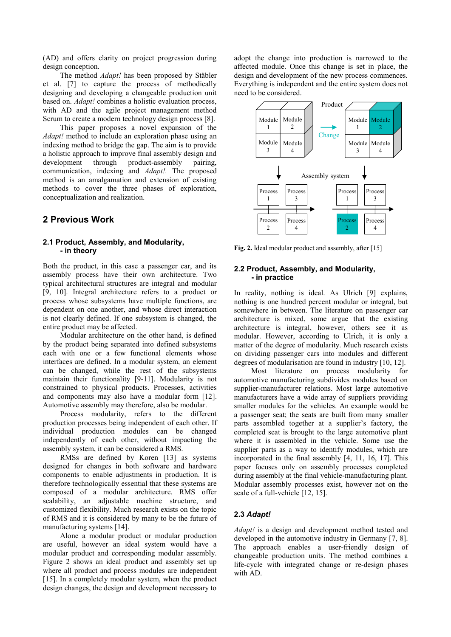(AD) and offers clarity on project progression during design conception.

The method *Adapt!* has been proposed by Stäbler et al. [7] to capture the process of methodically designing and developing a changeable production unit based on. *Adapt!* combines a holistic evaluation process, with AD and the agile project management method Scrum to create a modern technology design process [8].

This paper proposes a novel expansion of the *Adapt!* method to include an exploration phase using an indexing method to bridge the gap. The aim is to provide a holistic approach to improve final assembly design and development through product-assembly pairing, communication, indexing and *Adapt!.* The proposed method is an amalgamation and extension of existing methods to cover the three phases of exploration, conceptualization and realization.

### **2 Previous Work**

### **2.1 Product, Assembly, and Modularity, - in theory**

Both the product, in this case a passenger car, and its assembly process have their own architecture. Two typical architectural structures are integral and modular [9, 10]. Integral architecture refers to a product or process whose subsystems have multiple functions, are dependent on one another, and whose direct interaction is not clearly defined. If one subsystem is changed, the entire product may be affected.

Modular architecture on the other hand, is defined by the product being separated into defined subsystems each with one or a few functional elements whose interfaces are defined. In a modular system, an element can be changed, while the rest of the subsystems maintain their functionality [9-11]. Modularity is not constrained to physical products. Processes, activities and components may also have a modular form [12]. Automotive assembly may therefore, also be modular.

Process modularity, refers to the different production processes being independent of each other. If individual production modules can be changed independently of each other, without impacting the assembly system, it can be considered a RMS.

RMSs are defined by Koren [13] as systems designed for changes in both software and hardware components to enable adjustments in production. It is therefore technologically essential that these systems are composed of a modular architecture. RMS offer scalability, an adjustable machine structure, and customized flexibility. Much research exists on the topic of RMS and it is considered by many to be the future of manufacturing systems [14].

Alone a modular product or modular production are useful, however an ideal system would have a modular product and corresponding modular assembly. Figure 2 shows an ideal product and assembly set up where all product and process modules are independent [15]. In a completely modular system, when the product design changes, the design and development necessary to

adopt the change into production is narrowed to the affected module. Once this change is set in place, the design and development of the new process commences. Everything is independent and the entire system does not need to be considered.



Fig. 2. Ideal modular product and assembly, after [15]

#### **2.2 Product, Assembly, and Modularity, - in practice**

In reality, nothing is ideal. As Ulrich [9] explains, nothing is one hundred percent modular or integral, but somewhere in between. The literature on passenger car architecture is mixed, some argue that the existing architecture is integral, however, others see it as modular. However, according to Ulrich, it is only a matter of the degree of modularity. Much research exists on dividing passenger cars into modules and different degrees of modularisation are found in industry [10, 12].

Most literature on process modularity for automotive manufacturing subdivides modules based on supplier-manufacturer relations. Most large automotive manufacturers have a wide array of suppliers providing smaller modules for the vehicles. An example would be a passenger seat; the seats are built from many smaller parts assembled together at a supplier's factory, the completed seat is brought to the large automotive plant where it is assembled in the vehicle. Some use the supplier parts as a way to identify modules, which are incorporated in the final assembly [4, 11, 16, 17]. This paper focuses only on assembly processes completed during assembly at the final vehicle-manufacturing plant. Modular assembly processes exist, however not on the scale of a full-vehicle [12, 15].

### **2.3** *Adapt!*

*Adapt!* is a design and development method tested and developed in the automotive industry in Germany [7, 8]. The approach enables a user-friendly design of changeable production units. The method combines a life-cycle with integrated change or re-design phases with AD.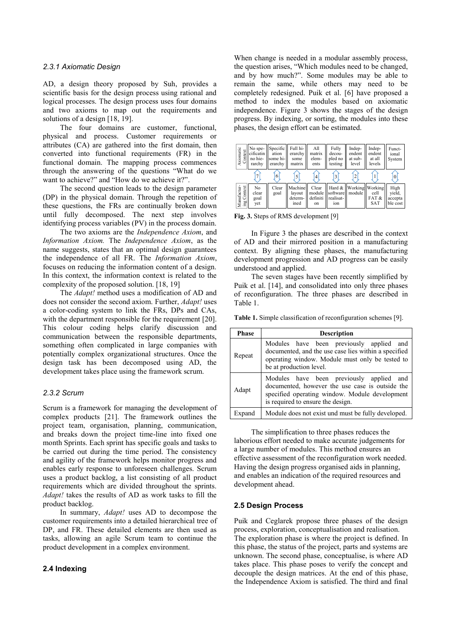#### *2.3.1 Axiomatic Design*

AD, a design theory proposed by Suh, provides a scientific basis for the design process using rational and logical processes. The design process uses four domains and two axioms to map out the requirements and solutions of a design [18, 19].

The four domains are customer, functional, physical and process. Customer requirements or attributes (CA) are gathered into the first domain, then converted into functional requirements (FR) in the functional domain. The mapping process commences through the answering of the questions "What do we want to achieve?" and "How do we achieve it?".

The second question leads to the design parameter (DP) in the physical domain. Through the repetition of these questions, the FRs are continually broken down until fully decomposed. The next step involves identifying process variables (PV) in the process domain.

The two axioms are the *Independence Axiom*, and *Information Axiom.* The *Independence Axiom*, as the name suggests, states that an optimal design guarantees the independence of all FR. The *Information Axiom*, focuses on reducing the information content of a design. In this context, the information context is related to the complexity of the proposed solution. [18, 19]

The *Adapt!* method uses a modification of AD and does not consider the second axiom. Further, *Adapt!* uses a color-coding system to link the FRs, DPs and CAs, with the department responsible for the requirement [20]. This colour coding helps clarify discussion and communication between the responsible departments, something often complicated in large companies with potentially complex organizational structures. Once the design task has been decomposed using AD, the development takes place using the framework scrum.

#### *2.3.2 Scrum*

Scrum is a framework for managing the development of complex products [21]. The framework outlines the project team, organisation, planning, communication, and breaks down the project time-line into fixed one month Sprints. Each sprint has specific goals and tasks to be carried out during the time period. The consistency and agility of the framework helps monitor progress and enables early response to unforeseen challenges. Scrum uses a product backlog, a list consisting of all product requirements which are divided throughout the sprints. *Adapt!* takes the results of AD as work tasks to fill the product backlog.

In summary, *Adapt!* uses AD to decompose the customer requirements into a detailed hierarchical tree of DP, and FR. These detailed elements are then used as tasks, allowing an agile Scrum team to continue the product development in a complex environment.

### **2.4 Indexing**

When change is needed in a modular assembly process, the question arises, "Which modules need to be changed, and by how much?". Some modules may be able to remain the same, while others may need to be completely redesigned. Puik et al. [6] have proposed a method to index the modules based on axiomatic independence. Figure 3 shows the stages of the design progress. By indexing, or sorting, the modules into these phases, the design effort can be estimated.

| Axiomatic<br>Context       | No spe-<br>cificatin l<br>no hie-<br>rarchy | ation<br>some hi-l<br>erarchy | Specific   Full hi-<br>erarchy<br>some<br>matrix | All<br>matrix<br>elem-<br>ents    | Fully<br>decou-<br>pled no<br>testing       | Indep-<br>endent<br>at sub-<br>level | Indep-<br>endent<br>at all<br>levels | Funct-<br>ional<br>System             |
|----------------------------|---------------------------------------------|-------------------------------|--------------------------------------------------|-----------------------------------|---------------------------------------------|--------------------------------------|--------------------------------------|---------------------------------------|
|                            |                                             | 6                             |                                                  |                                   |                                             |                                      |                                      | $\Omega$                              |
| Manufactur-<br>ing Context | No<br>clear<br>goal<br>yet                  | Clear<br>goal                 | Machine<br>layout<br>determ-<br>ined             | Clear<br>module<br>definiti<br>on | Hard $\&$  <br>software<br>realisat-<br>ion | Working  Working <br>module          | cell<br>FAT&<br><b>SAT</b>           | High<br>vield,<br>accepta<br>ble cost |

**Fig. 3.** Steps of RMS development [9]

In Figure 3 the phases are described in the context of AD and their mirrored position in a manufacturing context. By aligning these phases, the manufacturing development progression and AD progress can be easily understood and applied.

The seven stages have been recently simplified by Puik et al. [14], and consolidated into only three phases of reconfiguration. The three phases are described in Table 1.

**Table 1.** Simple classification of reconfiguration schemes [9].

| Phase  | <b>Description</b>                                                                                                                                                                 |  |  |  |  |
|--------|------------------------------------------------------------------------------------------------------------------------------------------------------------------------------------|--|--|--|--|
| Repeat | Modules have been previously applied and<br>documented, and the use case lies within a specified<br>operating window. Module must only be tested to<br>be at production level.     |  |  |  |  |
| Adapt  | Modules have been previously applied and<br>documented, however the use case is outside the<br>specified operating window. Module development<br>is required to ensure the design. |  |  |  |  |
| Expand | Module does not exist und must be fully developed.                                                                                                                                 |  |  |  |  |

The simplification to three phases reduces the laborious effort needed to make accurate judgements for a large number of modules. This method ensures an effective assessment of the reconfiguration work needed. Having the design progress organised aids in planning, and enables an indication of the required resources and development ahead.

### **2.5 Design Process**

Puik and Ceglarek propose three phases of the design process, exploration, conceptualisation and realisation. The exploration phase is where the project is defined. In this phase, the status of the project, parts and systems are unknown. The second phase, conceptualise, is where AD takes place. This phase poses to verify the concept and decouple the design matrices. At the end of this phase, the Independence Axiom is satisfied. The third and final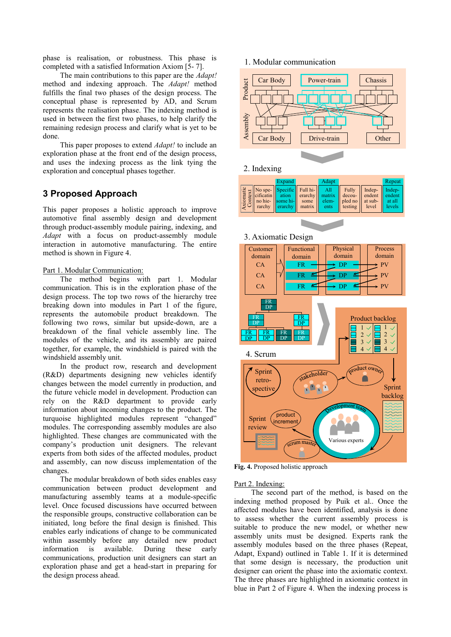phase is realisation, or robustness. This phase is completed with a satisfied Information Axiom [5- 7].

The main contributions to this paper are the *Adapt!* method and indexing approach. The *Adapt!* method fulfills the final two phases of the design process. The conceptual phase is represented by AD, and Scrum represents the realisation phase. The indexing method is used in between the first two phases, to help clarify the remaining redesign process and clarify what is yet to be done.

This paper proposes to extend *Adapt!* to include an exploration phase at the front end of the design process, and uses the indexing process as the link tying the exploration and conceptual phases together.

### **3 Proposed Approach**

This paper proposes a holistic approach to improve automotive final assembly design and development through product-assembly module pairing, indexing, and *Adapt* with a focus on product-assembly module interaction in automotive manufacturing. The entire method is shown in Figure 4.

#### Part 1. Modular Communication:

The method begins with part 1. Modular communication. This is in the exploration phase of the design process. The top two rows of the hierarchy tree breaking down into modules in Part 1 of the figure, represents the automobile product breakdown. The following two rows, similar but upside-down, are a breakdown of the final vehicle assembly line. The modules of the vehicle, and its assembly are paired together, for example, the windshield is paired with the windshield assembly unit.

In the product row, research and development (R&D) departments designing new vehicles identify changes between the model currently in production, and the future vehicle model in development. Production can rely on the R&D department to provide early information about incoming changes to the product. The turquoise highlighted modules represent "changed" modules. The corresponding assembly modules are also highlighted. These changes are communicated with the company's production unit designers. The relevant experts from both sides of the affected modules, product and assembly, can now discuss implementation of the changes.

The modular breakdown of both sides enables easy communication between product development and manufacturing assembly teams at a module-specific level. Once focused discussions have occurred between the responsible groups, constructive collaboration can be initiated, long before the final design is finished. This enables early indications of change to be communicated within assembly before any detailed new product information is available. During these early communications, production unit designers can start an exploration phase and get a head-start in preparing for the design process ahead.

### 1. Modular communication



#### 2. Indexing

|                | Expand |                                      | Adapt |                                       | Repeat |
|----------------|--------|--------------------------------------|-------|---------------------------------------|--------|
| $\overline{S}$ |        | rarchy $\ $ erarchy $\ $ matrix $\ $ | ents  | $\parallel$ testing $\parallel$ level | levels |



**Fig. 4.** Proposed holistic approach

#### Part 2. Indexing:

The second part of the method, is based on the indexing method proposed by Puik et al.. Once the affected modules have been identified, analysis is done to assess whether the current assembly process is suitable to produce the new model, or whether new assembly units must be designed. Experts rank the assembly modules based on the three phases (Repeat, Adapt, Expand) outlined in Table 1. If it is determined that some design is necessary, the production unit designer can orient the phase into the axiomatic context. The three phases are highlighted in axiomatic context in blue in Part 2 of Figure 4. When the indexing process is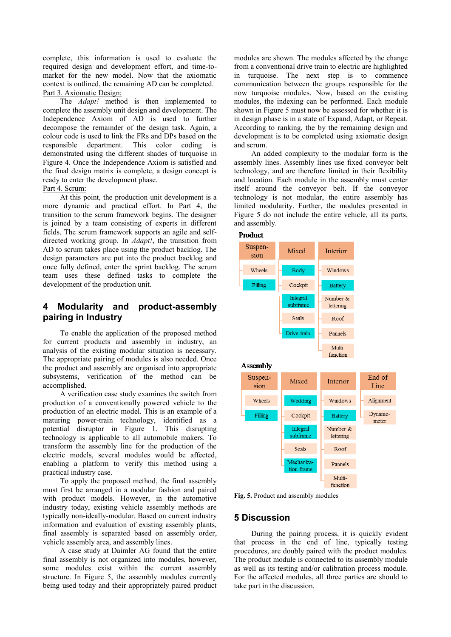complete, this information is used to evaluate the required design and development effort, and time-tomarket for the new model. Now that the axiomatic context is outlined, the remaining AD can be completed. Part 3. Axiomatic Design:

The *Adapt!* method is then implemented to complete the assembly unit design and development. The Independence Axiom of AD is used to further decompose the remainder of the design task. Again, a colour code is used to link the FRs and DPs based on the responsible department. This color coding is demonstrated using the different shades of turquoise in Figure 4. Once the Independence Axiom is satisfied and the final design matrix is complete, a design concept is ready to enter the development phase.

#### Part 4. Scrum:

At this point, the production unit development is a more dynamic and practical effort. In Part 4, the transition to the scrum framework begins. The designer is joined by a team consisting of experts in different fields. The scrum framework supports an agile and selfdirected working group. In *Adapt!*, the transition from AD to scrum takes place using the product backlog. The design parameters are put into the product backlog and once fully defined, enter the sprint backlog. The scrum team uses these defined tasks to complete the development of the production unit.

### **4 Modularity and product-assembly pairing in Industry**

To enable the application of the proposed method for current products and assembly in industry, an analysis of the existing modular situation is necessary. The appropriate pairing of modules is also needed. Once the product and assembly are organised into appropriate subsystems, verification of the method can be accomplished.

A verification case study examines the switch from production of a conventionally powered vehicle to the production of an electric model. This is an example of a maturing power-train technology, identified as a potential disruptor in Figure 1. This disrupting technology is applicable to all automobile makers. To transform the assembly line for the production of the electric models, several modules would be affected, enabling a platform to verify this method using a practical industry case.

To apply the proposed method, the final assembly must first be arranged in a modular fashion and paired with product models. However, in the automotive industry today, existing vehicle assembly methods are typically non-ideally-modular. Based on current industry information and evaluation of existing assembly plants, final assembly is separated based on assembly order, vehicle assembly area, and assembly lines.

A case study at Daimler AG found that the entire final assembly is not organized into modules, however, some modules exist within the current assembly structure. In Figure 5, the assembly modules currently being used today and their appropriately paired product

modules are shown. The modules affected by the change from a conventional drive train to electric are highlighted in turquoise. The next step is to commence communication between the groups responsible for the now turquoise modules. Now, based on the existing modules, the indexing can be performed. Each module shown in Figure 5 must now be assessed for whether it is in design phase is in a state of Expand, Adapt, or Repeat. According to ranking, the by the remaining design and development is to be completed using axiomatic design and scrum.

An added complexity to the modular form is the assembly lines. Assembly lines use fixed conveyor belt technology, and are therefore limited in their flexibility and location. Each module in the assembly must center itself around the conveyor belt. If the conveyor technology is not modular, the entire assembly has limited modularity. Further, the modules presented in Figure 5 do not include the entire vehicle, all its parts, and assembly.



**Fig. 5.** Product and assembly modules

### **5 Discussion**

During the pairing process, it is quickly evident that process in the end of line, typically testing procedures, are doubly paired with the product modules. The product module is connected to its assembly module as well as its testing and/or calibration process module. For the affected modules, all three parties are should to take part in the discussion.